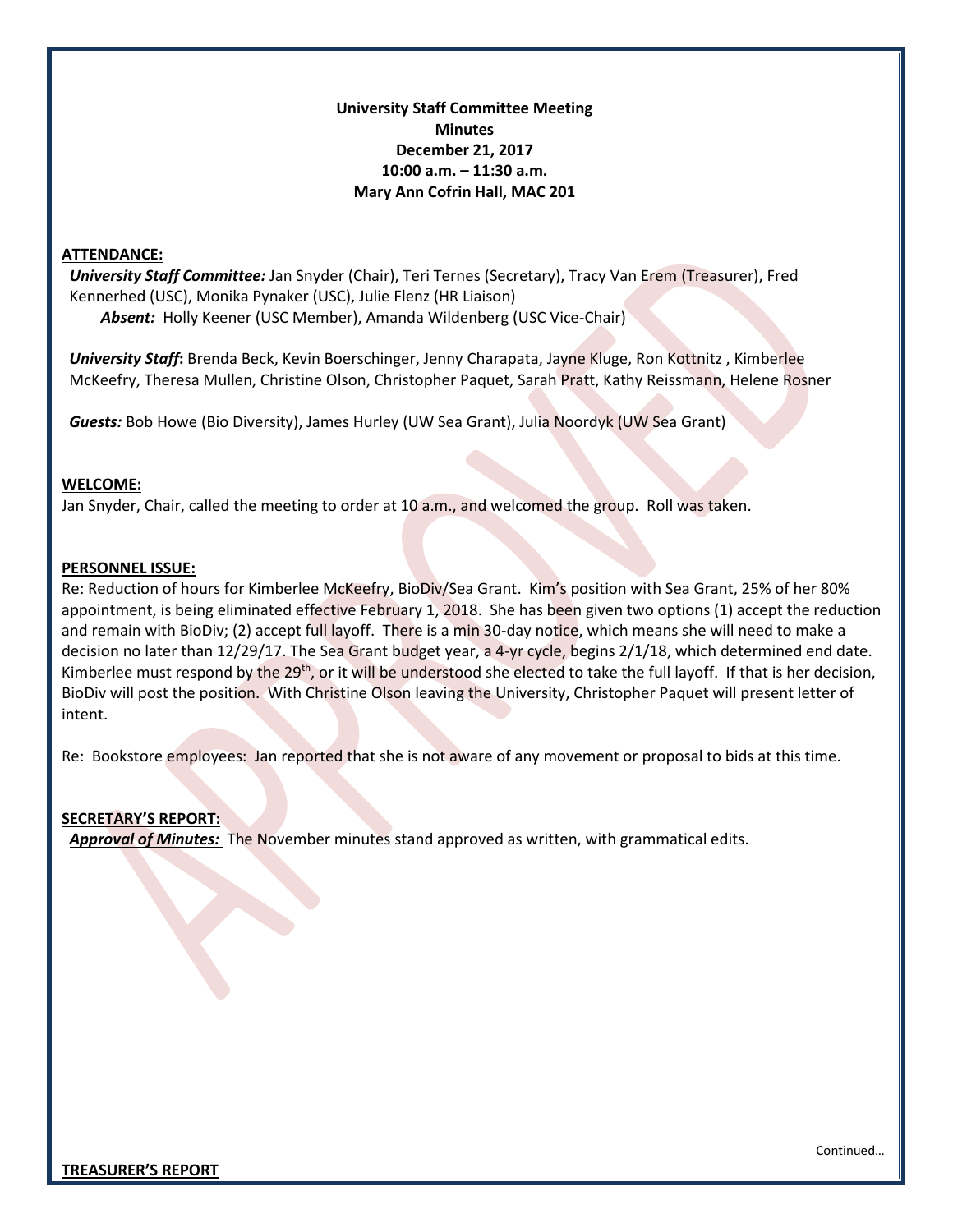## **University Staff Committee Meeting Minutes December 21, 2017 10:00 a.m. – 11:30 a.m. Mary Ann Cofrin Hall, MAC 201**

#### **ATTENDANCE:**

 *University Staff Committee:* Jan Snyder (Chair), Teri Ternes (Secretary), Tracy Van Erem (Treasurer), Fred Kennerhed (USC), Monika Pynaker (USC), Julie Flenz (HR Liaison) *Absent:* Holly Keener (USC Member), Amanda Wildenberg (USC Vice-Chair)

 *University Staff***:** Brenda Beck, Kevin Boerschinger, Jenny Charapata, Jayne Kluge, Ron Kottnitz , Kimberlee McKeefry, Theresa Mullen, Christine Olson, Christopher Paquet, Sarah Pratt, Kathy Reissmann, Helene Rosner

*Guests:* Bob Howe (Bio Diversity), James Hurley (UW Sea Grant), Julia Noordyk (UW Sea Grant)

#### **WELCOME:**

Jan Snyder, Chair, called the meeting to order at 10 a.m., and welcomed the group. Roll was taken.

#### **PERSONNEL ISSUE:**

Re: Reduction of hours for Kimberlee McKeefry, BioDiv/Sea Grant. Kim's position with Sea Grant, 25% of her 80% appointment, is being eliminated effective February 1, 2018. She has been given two options (1) accept the reduction and remain with BioDiv; (2) accept full layoff. There is a min 30-day notice, which means she will need to make a decision no later than 12/29/17. The Sea Grant budget year, a 4-yr cycle, begins 2/1/18, which determined end date. Kimberlee must respond by the 29<sup>th</sup>, or it will be understood she elected to take the full layoff. If that is her decision, BioDiv will post the position. With Christine Olson leaving the University, Christopher Paquet will present letter of intent.

Re: Bookstore employees: Jan reported that she is not aware of any movement or proposal to bids at this time.

### **SECRETARY'S REPORT:**

 *Approval of Minutes:* The November minutes stand approved as written, with grammatical edits.

Continued…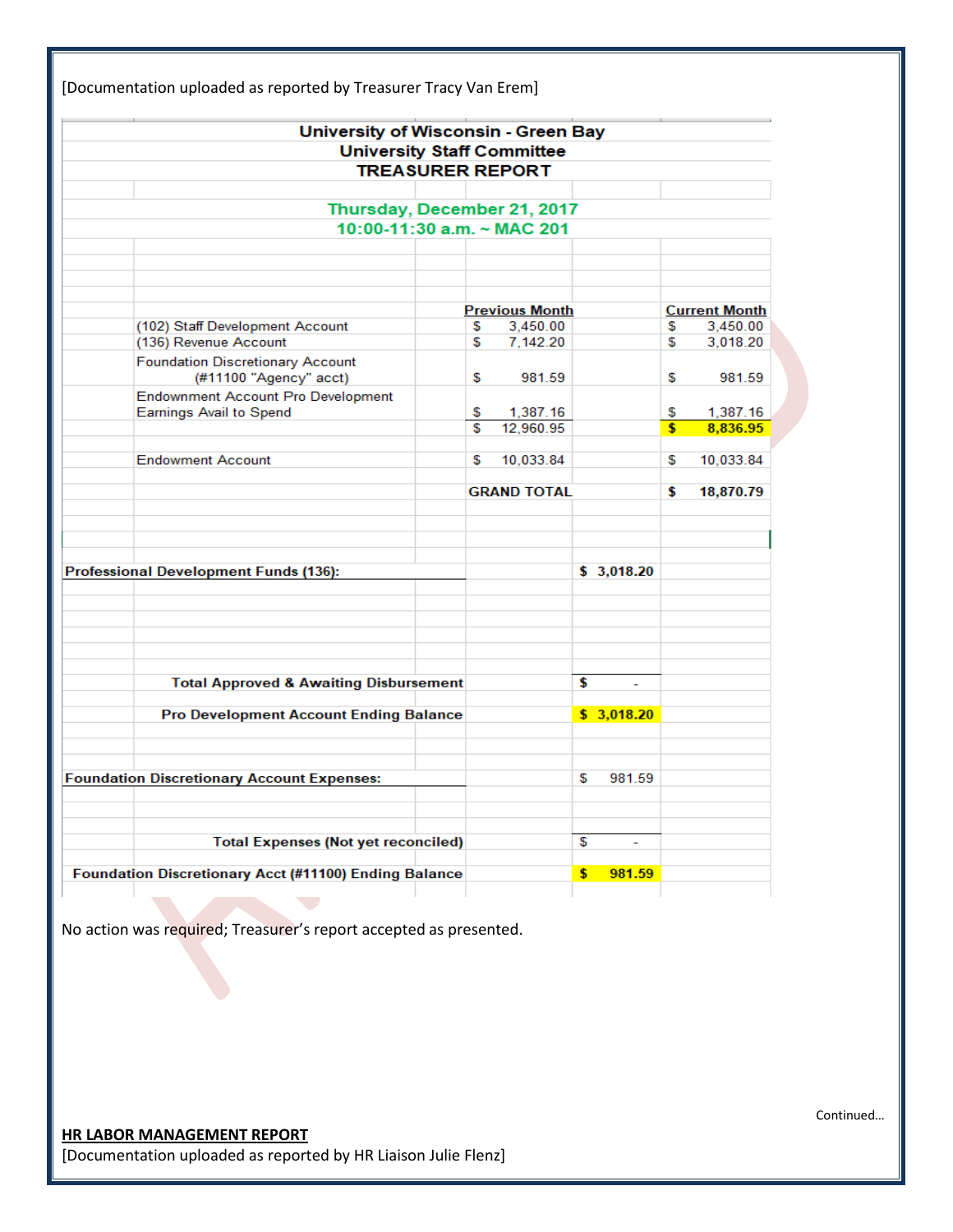| University of Wisconsin - Green Bay                   |                       |                       |    |            |                               |                      |
|-------------------------------------------------------|-----------------------|-----------------------|----|------------|-------------------------------|----------------------|
| <b>University Staff Committee</b>                     |                       |                       |    |            |                               |                      |
| <b>TREASURER REPORT</b>                               |                       |                       |    |            |                               |                      |
|                                                       |                       |                       |    |            |                               |                      |
| Thursday, December 21, 2017                           |                       |                       |    |            |                               |                      |
| 10:00-11:30 a.m. ~ MAC 201                            |                       |                       |    |            |                               |                      |
|                                                       |                       |                       |    |            |                               |                      |
|                                                       |                       |                       |    |            |                               |                      |
|                                                       |                       |                       |    |            |                               |                      |
|                                                       | <b>Previous Month</b> |                       |    |            | <b>Current Month</b>          |                      |
| (102) Staff Development Account                       | S                     | 3,450.00              |    |            | S                             | 3,450.00             |
| (136) Revenue Account                                 | S                     | 7,142.20              |    |            | S                             | 3,018.20             |
| <b>Foundation Discretionary Account</b>               |                       |                       |    |            |                               |                      |
| (#11100 "Agency" acct)                                | S                     | 981.59                |    |            | S                             | 981.59               |
| <b>Endownment Account Pro Development</b>             |                       |                       |    |            |                               |                      |
| <b>Earnings Avail to Spend</b>                        | \$<br>\$.             | 1,387.16<br>12,960.95 |    |            | \$<br>$\overline{\mathbf{s}}$ | 1,387.16<br>8,836.95 |
|                                                       |                       |                       |    |            |                               |                      |
| <b>Endowment Account</b>                              | S                     | 10,033.84             |    |            | S                             | 10,033.84            |
|                                                       |                       |                       |    |            |                               |                      |
|                                                       |                       | <b>GRAND TOTAL</b>    |    |            | \$                            | 18,870.79            |
|                                                       |                       |                       |    |            |                               |                      |
|                                                       |                       |                       |    |            |                               |                      |
|                                                       |                       |                       |    |            |                               |                      |
| <b>Professional Development Funds (136):</b>          |                       |                       |    | \$3,018.20 |                               |                      |
|                                                       |                       |                       |    |            |                               |                      |
|                                                       |                       |                       |    |            |                               |                      |
|                                                       |                       |                       |    |            |                               |                      |
|                                                       |                       |                       |    |            |                               |                      |
|                                                       |                       |                       |    |            |                               |                      |
| <b>Total Approved &amp; Awaiting Disbursement</b>     |                       |                       | \$ | ÷.         |                               |                      |
|                                                       |                       |                       |    |            |                               |                      |
| <b>Pro Development Account Ending Balance</b>         |                       |                       |    | \$3,018.20 |                               |                      |
|                                                       |                       |                       |    |            |                               |                      |
|                                                       |                       |                       |    |            |                               |                      |
| <b>Foundation Discretionary Account Expenses:</b>     |                       |                       | \$ | 981.59     |                               |                      |
|                                                       |                       |                       |    |            |                               |                      |
|                                                       |                       |                       |    |            |                               |                      |
|                                                       |                       |                       |    |            |                               |                      |
| <b>Total Expenses (Not yet reconciled)</b>            |                       |                       | S  | ٠          |                               |                      |
| Foundation Discretionary Acct (#11100) Ending Balance |                       |                       | \$ | 981.59     |                               |                      |

No action was required; Treasurer's report accepted as presented.

**HR LABOR MANAGEMENT REPORT** [Documentation uploaded as reported by HR Liaison Julie Flenz] Continued…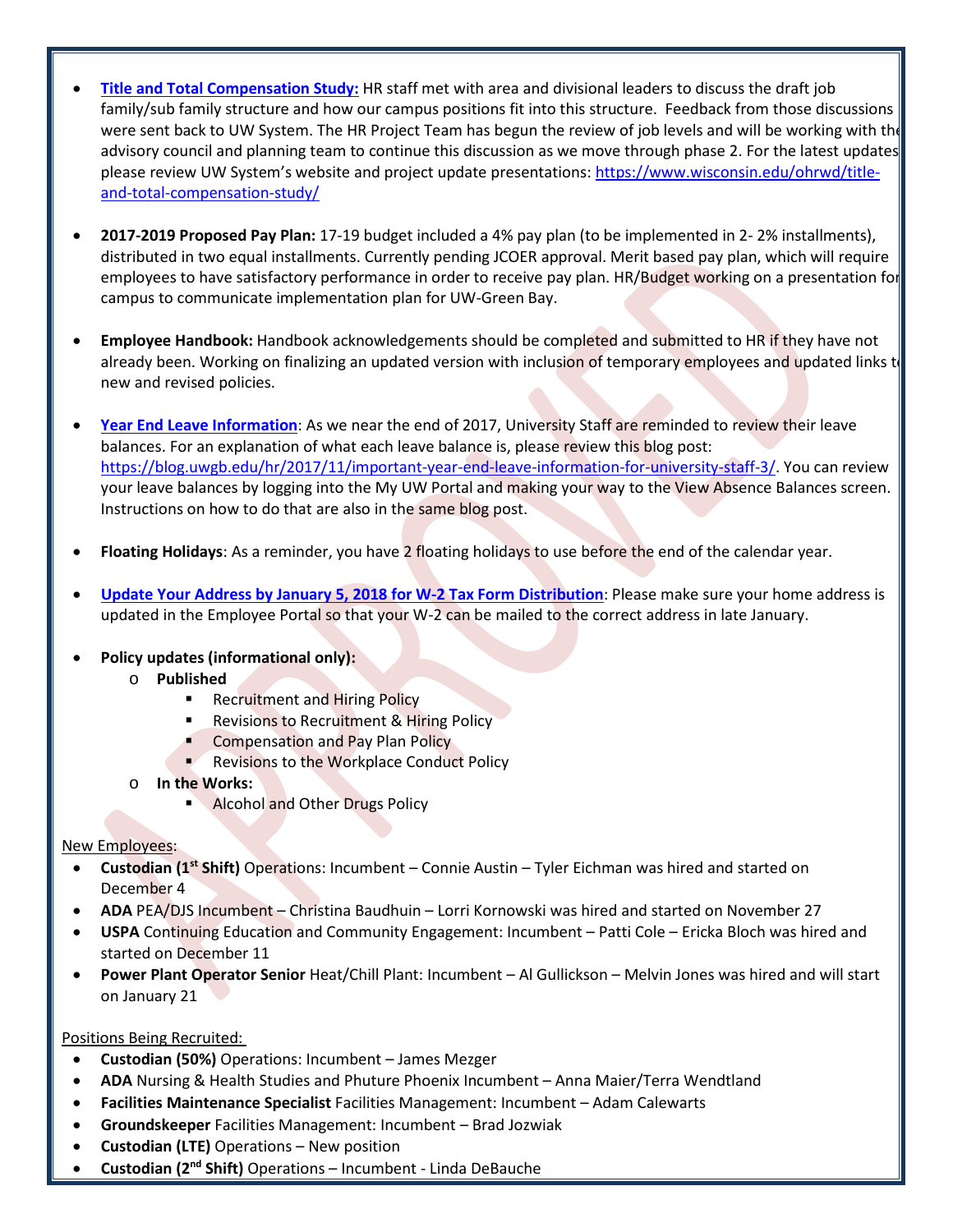- **[Title and Total Compensation Study:](https://www.wisconsin.edu/ohrwd/title-and-total-compensation-study/)** HR staff met with area and divisional leaders to discuss the draft job family/sub family structure and how our campus positions fit into this structure. Feedback from those discussions were sent back to UW System. The HR Project Team has begun the review of job levels and will be working with the advisory council and planning team to continue this discussion as we move through phase 2. For the latest updates, please review UW System's website and project update presentations[: https://www.wisconsin.edu/ohrwd/title](https://www.wisconsin.edu/ohrwd/title-and-total-compensation-study/)[and-total-compensation-study/](https://www.wisconsin.edu/ohrwd/title-and-total-compensation-study/)
- **2017-2019 Proposed Pay Plan:** 17-19 budget included a 4% pay plan (to be implemented in 2- 2% installments), distributed in two equal installments. Currently pending JCOER approval. Merit based pay plan, which will require employees to have satisfactory performance in order to receive pay plan. HR/Budget working on a presentation for campus to communicate implementation plan for UW-Green Bay.
- **Employee Handbook:** Handbook acknowledgements should be completed and submitted to HR if they have not already been. Working on finalizing an updated version with inclusion of temporary employees and updated links to new and revised policies.
- **[Year End Leave Information](https://blog.uwgb.edu/hr/2017/11/important-year-end-leave-information-for-university-staff-3/)**: As we near the end of 2017, University Staff are reminded to review their leave balances. For an explanation of what each leave balance is, please review this blog post: [https://blog.uwgb.edu/hr/2017/11/important-year-end-leave-information-for-university-staff-3/.](https://blog.uwgb.edu/hr/2017/11/important-year-end-leave-information-for-university-staff-3/) You can review your leave balances by logging into the My UW Portal and making your way to the View Absence Balances screen. Instructions on how to do that are also in the same blog post.
- **Floating Holidays**: As a reminder, you have 2 floating holidays to use before the end of the calendar year.
- **[Update Your Address by January 5, 2018 for W-2 Tax Form Distribution](https://blog.uwgb.edu/hr/2017/11/update-your-address-by-january-5-2018-for-w-2-tax-form-distribution/?utm_source=HR+Connect+Subscribers&utm_campaign=8031745af3-HR_Connect_December_14_2017&utm_medium=email&utm_term=0_1a695a7fa1-8031745af3-86746075)**: Please make sure your home address is updated in the Employee Portal so that your W-2 can be mailed to the correct address in late January.
- **Policy updates (informational only):** 
	- o **Published**
		- **Recruitment and Hiring Policy**
		- **Revisions to Recruitment & Hiring Policy**
		- Compensation and Pay Plan Policy
		- Revisions to the Workplace Conduct Policy
	- o **In the Works:**
		- **Alcohol and Other Drugs Policy**

### New Employees:

- **Custodian (1st Shift)** Operations: Incumbent Connie Austin Tyler Eichman was hired and started on December 4
- **ADA** PEA/DJS Incumbent Christina Baudhuin Lorri Kornowski was hired and started on November 27
- **USPA** Continuing Education and Community Engagement: Incumbent Patti Cole Ericka Bloch was hired and started on December 11
- **Power Plant Operator Senior** Heat/Chill Plant: Incumbent Al Gullickson Melvin Jones was hired and will start on January 21

## Positions Being Recruited:

- **Custodian (50%)** Operations: Incumbent James Mezger
- **ADA** Nursing & Health Studies and Phuture Phoenix Incumbent Anna Maier/Terra Wendtland
- **Facilities Maintenance Specialist** Facilities Management: Incumbent Adam Calewarts
- **Groundskeeper** Facilities Management: Incumbent Brad Jozwiak
- **Custodian (LTE)** Operations New position
- **Custodian (2nd Shift)** Operations Incumbent Linda DeBauche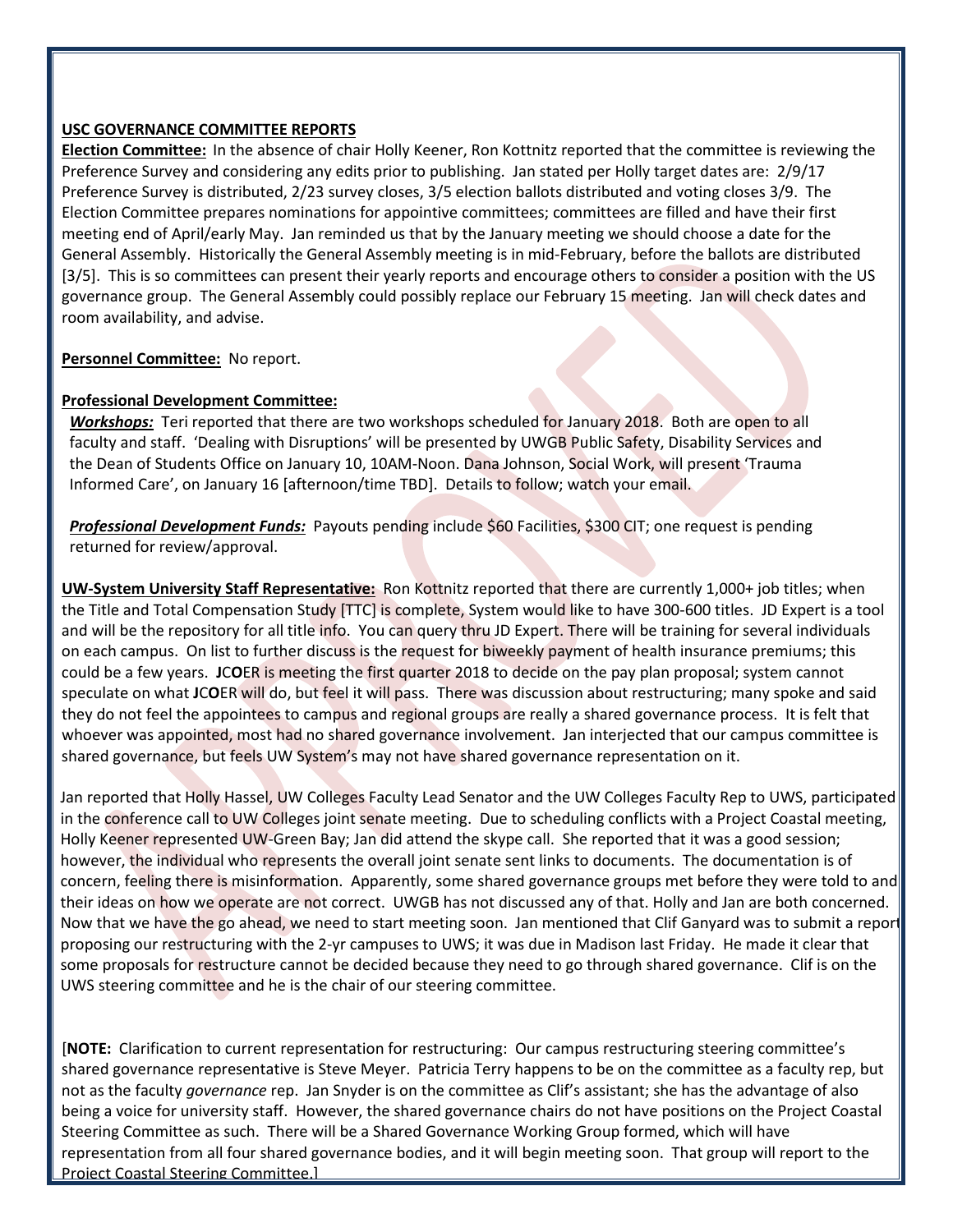### **USC GOVERNANCE COMMITTEE REPORTS**

**Election Committee:** In the absence of chair Holly Keener, Ron Kottnitz reported that the committee is reviewing the Preference Survey and considering any edits prior to publishing. Jan stated per Holly target dates are: 2/9/17 Preference Survey is distributed, 2/23 survey closes, 3/5 election ballots distributed and voting closes 3/9. The Election Committee prepares nominations for appointive committees; committees are filled and have their first meeting end of April/early May. Jan reminded us that by the January meeting we should choose a date for the General Assembly. Historically the General Assembly meeting is in mid-February, before the ballots are distributed [3/5]. This is so committees can present their yearly reports and encourage others to consider a position with the US governance group. The General Assembly could possibly replace our February 15 meeting. Jan will check dates and room availability, and advise.

**Personnel Committee:** No report.

## **Professional Development Committee:**

*Workshops:* Teri reported that there are two workshops scheduled for January 2018. Both are open to all faculty and staff. 'Dealing with Disruptions' will be presented by UWGB Public Safety, Disability Services and the Dean of Students Office on January 10, 10AM-Noon. Dana Johnson, Social Work, will present 'Trauma Informed Care', on January 16 [afternoon/time TBD]. Details to follow; watch your email.

 *Professional Development Funds:* Payouts pending include \$60 Facilities, \$300 CIT; one request is pending returned for review/approval.

**UW-System University Staff Representative:** Ron Kottnitz reported that there are currently 1,000+ job titles; when the Title and Total Compensation Study [TTC] is complete, System would like to have 300-600 titles. JD Expert is a tool and will be the repository for all title info. You can query thru JD Expert. There will be training for several individuals on each campus. On list to further discuss is the request for biweekly payment of health insurance premiums; this could be a few years. **J**C**O**ER is meeting the first quarter 2018 to decide on the pay plan proposal; system cannot speculate on what **J**C**O**ER will do, but feel it will pass. There was discussion about restructuring; many spoke and said they do not feel the appointees to campus and regional groups are really a shared governance process. It is felt that whoever was appointed, most had no shared governance involvement. Jan interjected that our campus committee is shared governance, but feels UW System's may not have shared governance representation on it.

Jan reported that Holly Hassel, UW Colleges Faculty Lead Senator and the UW Colleges Faculty Rep to UWS, participated in the conference call to UW Colleges joint senate meeting. Due to scheduling conflicts with a Project Coastal meeting, Holly Keener represented UW-Green Bay; Jan did attend the skype call. She reported that it was a good session; however, the individual who represents the overall joint senate sent links to documents. The documentation is of concern, feeling there is misinformation. Apparently, some shared governance groups met before they were told to and their ideas on how we operate are not correct. UWGB has not discussed any of that. Holly and Jan are both concerned. Now that we have the go ahead, we need to start meeting soon. Jan mentioned that Clif Ganyard was to submit a report proposing our restructuring with the 2-yr campuses to UWS; it was due in Madison last Friday. He made it clear that some proposals for restructure cannot be decided because they need to go through shared governance. Clif is on the UWS steering committee and he is the chair of our steering committee.

[**NOTE:** Clarification to current representation for restructuring: Our campus restructuring steering committee's shared governance representative is Steve Meyer. Patricia Terry happens to be on the committee as a faculty rep, but not as the faculty *governance* rep. Jan Snyder is on the committee as Clif's assistant; she has the advantage of also being a voice for university staff. However, the shared governance chairs do not have positions on the Project Coastal Steering Committee as such. There will be a Shared Governance Working Group formed, which will have representation from all four shared governance bodies, and it will begin meeting soon. That group will report to the Project Coastal Steering Committee.]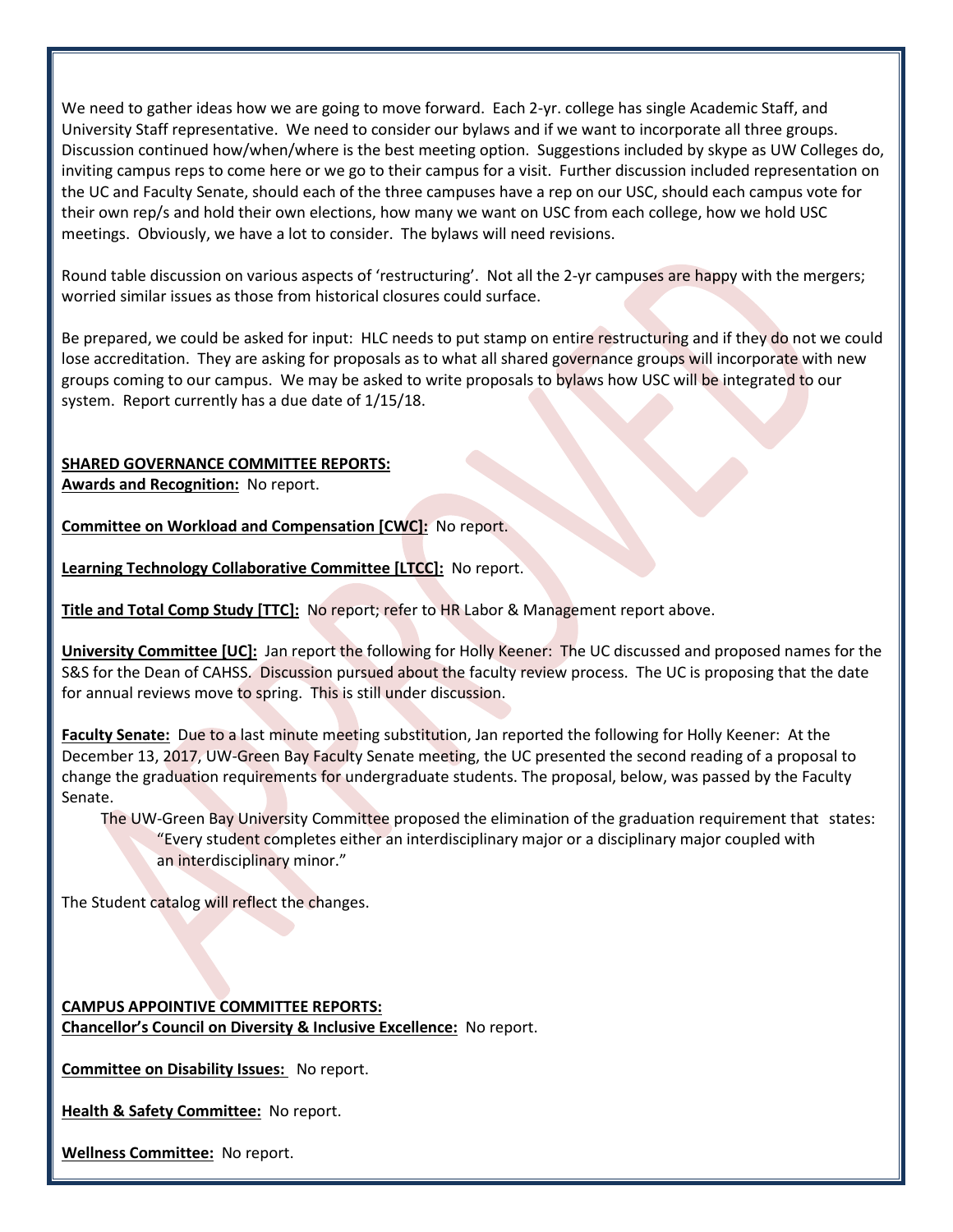We need to gather ideas how we are going to move forward. Each 2-yr. college has single Academic Staff, and University Staff representative. We need to consider our bylaws and if we want to incorporate all three groups. Discussion continued how/when/where is the best meeting option. Suggestions included by skype as UW Colleges do, inviting campus reps to come here or we go to their campus for a visit. Further discussion included representation on the UC and Faculty Senate, should each of the three campuses have a rep on our USC, should each campus vote for their own rep/s and hold their own elections, how many we want on USC from each college, how we hold USC meetings. Obviously, we have a lot to consider. The bylaws will need revisions.

Round table discussion on various aspects of 'restructuring'. Not all the 2-yr campuses are happy with the mergers; worried similar issues as those from historical closures could surface.

Be prepared, we could be asked for input: HLC needs to put stamp on entire restructuring and if they do not we could lose accreditation. They are asking for proposals as to what all shared governance groups will incorporate with new groups coming to our campus. We may be asked to write proposals to bylaws how USC will be integrated to our system. Report currently has a due date of 1/15/18.

# **SHARED GOVERNANCE COMMITTEE REPORTS:**

**Awards and Recognition:** No report.

**Committee on Workload and Compensation [CWC]:** No report.

**Learning Technology Collaborative Committee [LTCC]:** No report.

**Title and Total Comp Study [TTC]:** No report; refer to HR Labor & Management report above.

**University Committee [UC]:** Jan report the following for Holly Keener: The UC discussed and proposed names for the S&S for the Dean of CAHSS. Discussion pursued about the faculty review process. The UC is proposing that the date for annual reviews move to spring. This is still under discussion.

**Faculty Senate:** Due to a last minute meeting substitution, Jan reported the following for Holly Keener: At the December 13, 2017, UW-Green Bay Faculty Senate meeting, the UC presented the second reading of a proposal to change the graduation requirements for undergraduate students. The proposal, below, was passed by the Faculty Senate.

The UW-Green Bay University Committee proposed the elimination of the graduation requirement that states: "Every student completes either an interdisciplinary major or a disciplinary major coupled with an interdisciplinary minor."

The Student catalog will reflect the changes.

**CAMPUS APPOINTIVE COMMITTEE REPORTS: Chancellor's Council on Diversity & Inclusive Excellence:** No report.

**Committee on Disability Issues:** No report.

**Health & Safety Committee:** No report.

**Wellness Committee:** No report.